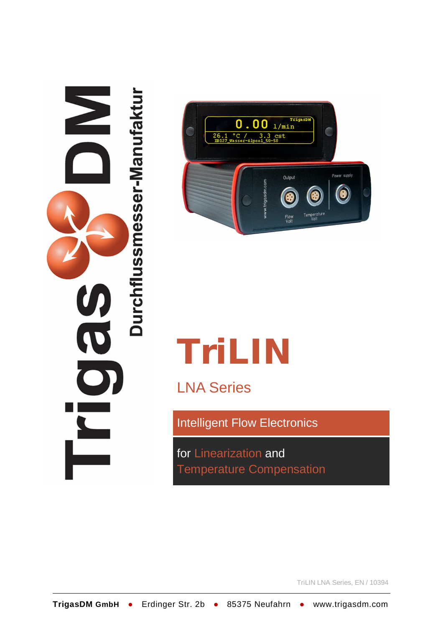



# **TriLIN**

LNA Series

Intelligent Flow Electronics

for Linearization and Temperature Compensation

TriLIN LNA Series, EN / 10394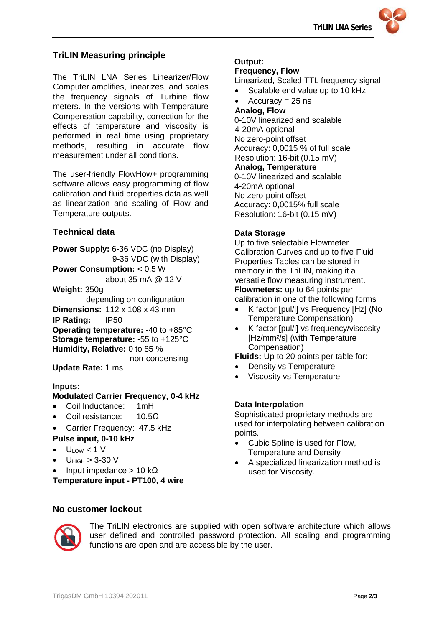

# **TriLIN Measuring principle**

The TriLIN LNA Series Linearizer/Flow Computer amplifies, linearizes, and scales the frequency signals of Turbine flow meters. In the versions with Temperature Compensation capability, correction for the effects of temperature and viscosity is performed in real time using proprietary methods, resulting in accurate flow measurement under all conditions.

The user-friendly FlowHow+ programming software allows easy programming of flow calibration and fluid properties data as well as linearization and scaling of Flow and Temperature outputs.

## **Technical data**

**Power Supply:** 6-36 VDC (no Display) 9-36 VDC (with Display) **Power Consumption:** < 0,5 W about 35 mA @ 12 V **Weight:** 350g depending on configuration **Dimensions:** 112 x 108 x 43 mm **IP Rating:** IP50 **Operating temperature:** -40 to +85°C **Storage temperature:** -55 to +125°C

**Humidity, Relative:** 0 to 85 % non-condensing

**Update Rate:** 1 ms

#### **Inputs:**

#### **Modulated Carrier Frequency, 0-4 kHz**

- Coil Inductance: 1mH
- Coil resistance: 10.5Ω
- Carrier Frequency: 47.5 kHz **Pulse input, 0-10 kHz**
- $\bullet$  U<sub>LOW</sub> < 1 V
- $U_{HIGH} > 3-30$  V
- Input impedance > 10 kΩ

**Temperature input - PT100, 4 wire**

## **Output:**

#### **Frequency, Flow**

Linearized, Scaled TTL frequency signal

- Scalable end value up to 10 kHz
- $Accuracy = 25$  ns

# **Analog, Flow**

0-10V linearized and scalable 4-20mA optional No zero-point offset Accuracy: 0,0015 % of full scale Resolution: 16-bit (0.15 mV) **Analog, Temperature** 0-10V linearized and scalable 4-20mA optional

No zero-point offset Accuracy: 0,0015% full scale Resolution: 16-bit (0.15 mV)

#### **Data Storage**

Up to five selectable Flowmeter Calibration Curves and up to five Fluid Properties Tables can be stored in memory in the TriLIN, making it a versatile flow measuring instrument. **Flowmeters:** up to 64 points per calibration in one of the following forms

- K factor [pul/l] vs Frequency [Hz] (No Temperature Compensation)
- K factor [pul/l] vs frequency/viscosity [Hz/mm<sup>2</sup>/s] (with Temperature Compensation)

**Fluids:** Up to 20 points per table for:

- Density vs Temperature
- Viscosity vs Temperature

#### **Data Interpolation**

Sophisticated proprietary methods are used for interpolating between calibration points.

- Cubic Spline is used for Flow, Temperature and Density
- A specialized linearization method is used for Viscosity.

## **No customer lockout**



The TriLIN electronics are supplied with open software architecture which allows user defined and controlled password protection. All scaling and programming functions are open and are accessible by the user.